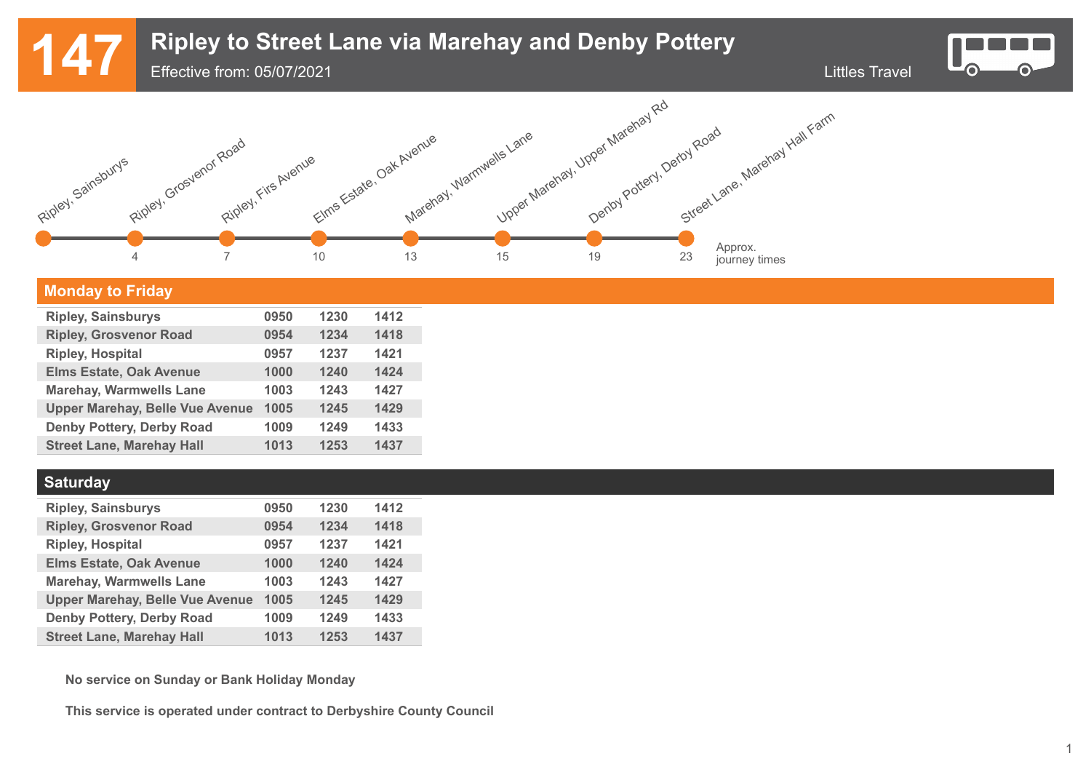## **147** Ripley to Street Lane via Marehay and Denby Pottery<br>Effective from: 05/07/2021

Effective from: 05/07/2021





### **Monday to Friday**

| <b>Ripley, Sainsburys</b>              | 0950 | 1230 | 1412 |
|----------------------------------------|------|------|------|
| <b>Ripley, Grosvenor Road</b>          | 0954 | 1234 | 1418 |
| <b>Ripley, Hospital</b>                | 0957 | 1237 | 1421 |
| <b>Elms Estate, Oak Avenue</b>         | 1000 | 1240 | 1424 |
| <b>Marehay, Warmwells Lane</b>         | 1003 | 1243 | 1427 |
| <b>Upper Marehay, Belle Vue Avenue</b> | 1005 | 1245 | 1429 |
| <b>Denby Pottery, Derby Road</b>       | 1009 | 1249 | 1433 |
| <b>Street Lane, Marehay Hall</b>       | 1013 | 1253 | 1437 |
|                                        |      |      |      |

### **Saturday**

| <b>Ripley, Sainsburys</b>              | 0950 | 1230 | 1412 |
|----------------------------------------|------|------|------|
| <b>Ripley, Grosvenor Road</b>          | 0954 | 1234 | 1418 |
| <b>Ripley, Hospital</b>                | 0957 | 1237 | 1421 |
| <b>Elms Estate, Oak Avenue</b>         | 1000 | 1240 | 1424 |
| <b>Marehay, Warmwells Lane</b>         | 1003 | 1243 | 1427 |
| <b>Upper Marehay, Belle Vue Avenue</b> | 1005 | 1245 | 1429 |
| <b>Denby Pottery, Derby Road</b>       | 1009 | 1249 | 1433 |
| <b>Street Lane, Marehay Hall</b>       | 1013 | 1253 | 1437 |

**No service on Sunday or Bank Holiday Monday**

**This service is operated under contract to Derbyshire County Council**